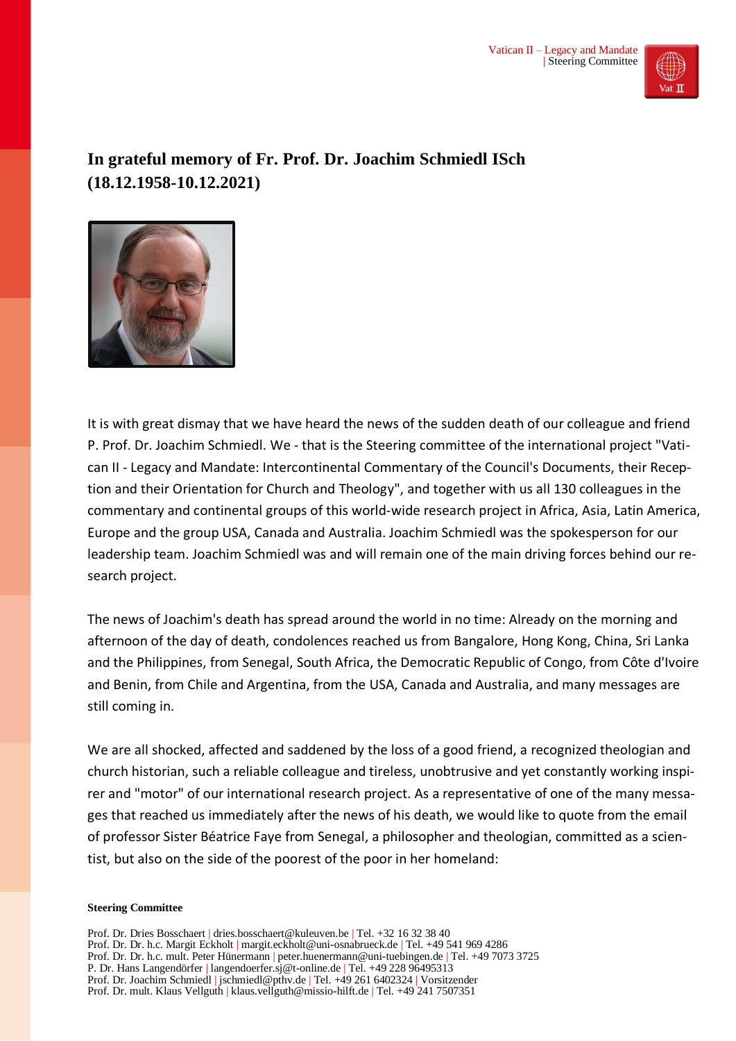

## **In grateful memory of Fr. Prof. Dr. Joachim Schmiedl ISch (18.12.1958-10.12.2021)**



It is with great dismay that we have heard the news of the sudden death of our colleague and friend P. Prof. Dr. Joachim Schmiedl. We - that is the Steering committee of the international project "Vatican II - Legacy and Mandate: Intercontinental Commentary of the Council's Documents, their Reception and their Orientation for Church and Theology", and together with us all 130 colleagues in the commentary and continental groups of this world-wide research project in Africa, Asia, Latin America, Europe and the group USA, Canada and Australia. Joachim Schmiedl was the spokesperson for our leadership team. Joachim Schmiedl was and will remain one of the main driving forces behind our research project.

The news of Joachim's death has spread around the world in no time: Already on the morning and afternoon of the day of death, condolences reached us from Bangalore, Hong Kong, China, Sri Lanka and the Philippines, from Senegal, South Africa, the Democratic Republic of Congo, from Côte d'Ivoire and Benin, from Chile and Argentina, from the USA, Canada and Australia, and many messages are still coming in.

We are all shocked, affected and saddened by the loss of a good friend, a recognized theologian and church historian, such a reliable colleague and tireless, unobtrusive and yet constantly working inspirer and "motor" of our international research project. As a representative of one of the many messages that reached us immediately after the news of his death, we would like to quote from the email of professor Sister Béatrice Faye from Senegal, a philosopher and theologian, committed as a scientist, but also on the side of the poorest of the poor in her homeland:

## **Steering Committee**

Prof. Dr. Dries Bosschaert | dries.bosschaert@kuleuven.be | Tel. +32 16 32 38 40 Prof. Dr. Dr. h.c. Margit Eckholt | margit.eckholt@uni-osnabrueck.de | Tel. +49 541 969 4286 Prof. Dr. Dr. h.c. mult. Peter Hünermann | peter.huenermann@uni-tuebingen.de | Tel. +49 7073 3725 P. Dr. Hans Langendörfer | langendoerfer.sj@t-online.de | Tel. +49 228 96495313 Prof. Dr. Joachim Schmiedl | jschmiedl@pthv.de | Tel. +49 261 6402324 | Vorsitzender Prof. Dr. mult. Klaus Vellguth | klaus.vellguth@missio-hilft.de | Tel. +49 241 7507351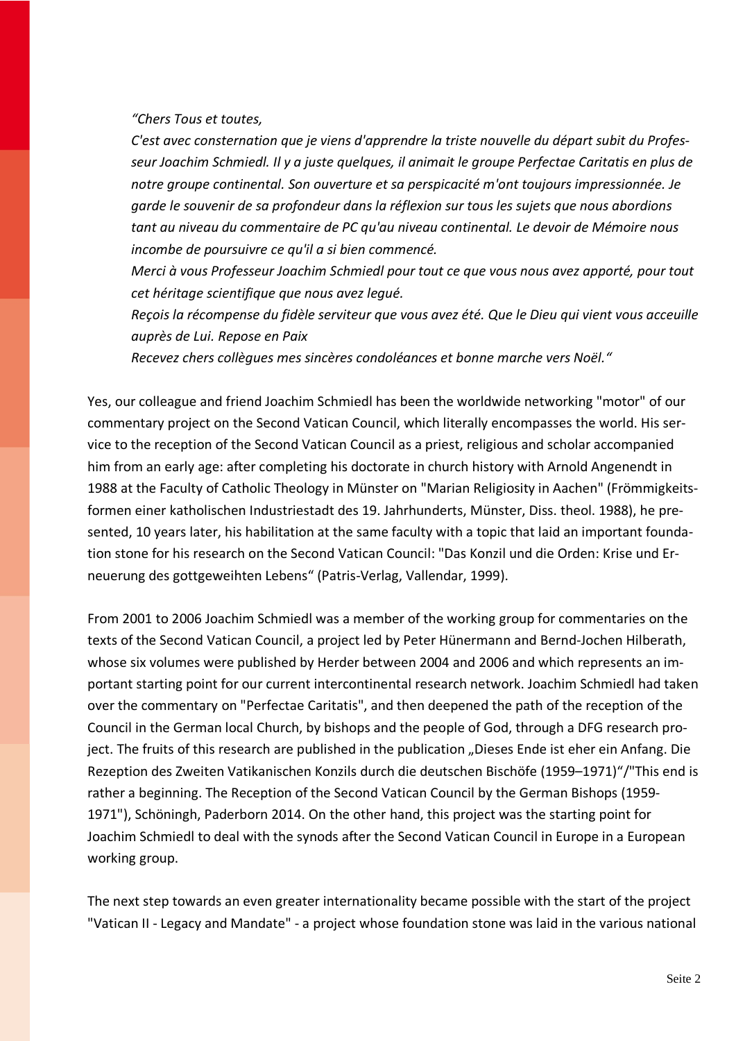*"Chers Tous et toutes,*

*C'est avec consternation que je viens d'apprendre la triste nouvelle du départ subit du Professeur Joachim Schmiedl. Il y a juste quelques, il animait le groupe Perfectae Caritatis en plus de notre groupe continental. Son ouverture et sa perspicacité m'ont toujours impressionnée. Je garde le souvenir de sa profondeur dans la réflexion sur tous les sujets que nous abordions tant au niveau du commentaire de PC qu'au niveau continental. Le devoir de Mémoire nous incombe de poursuivre ce qu'il a si bien commencé.*

*Merci à vous Professeur Joachim Schmiedl pour tout ce que vous nous avez apporté, pour tout cet héritage scientifique que nous avez legué.*

*Reçois la récompense du fidèle serviteur que vous avez été. Que le Dieu qui vient vous acceuille auprès de Lui. Repose en Paix*

*Recevez chers collègues mes sincères condoléances et bonne marche vers Noël."*

Yes, our colleague and friend Joachim Schmiedl has been the worldwide networking "motor" of our commentary project on the Second Vatican Council, which literally encompasses the world. His service to the reception of the Second Vatican Council as a priest, religious and scholar accompanied him from an early age: after completing his doctorate in church history with Arnold Angenendt in 1988 at the Faculty of Catholic Theology in Münster on "Marian Religiosity in Aachen" (Frömmigkeitsformen einer katholischen Industriestadt des 19. Jahrhunderts, Münster, Diss. theol. 1988), he presented, 10 years later, his habilitation at the same faculty with a topic that laid an important foundation stone for his research on the Second Vatican Council: "Das Konzil und die Orden: Krise und Erneuerung des gottgeweihten Lebens" (Patris-Verlag, Vallendar, 1999).

From 2001 to 2006 Joachim Schmiedl was a member of the working group for commentaries on the texts of the Second Vatican Council, a project led by Peter Hünermann and Bernd-Jochen Hilberath, whose six volumes were published by Herder between 2004 and 2006 and which represents an important starting point for our current intercontinental research network. Joachim Schmiedl had taken over the commentary on "Perfectae Caritatis", and then deepened the path of the reception of the Council in the German local Church, by bishops and the people of God, through a DFG research project. The fruits of this research are published in the publication "Dieses Ende ist eher ein Anfang. Die Rezeption des Zweiten Vatikanischen Konzils durch die deutschen Bischöfe (1959–1971)"/"This end is rather a beginning. The Reception of the Second Vatican Council by the German Bishops (1959- 1971"), Schöningh, Paderborn 2014. On the other hand, this project was the starting point for Joachim Schmiedl to deal with the synods after the Second Vatican Council in Europe in a European working group.

The next step towards an even greater internationality became possible with the start of the project "Vatican II - Legacy and Mandate" - a project whose foundation stone was laid in the various national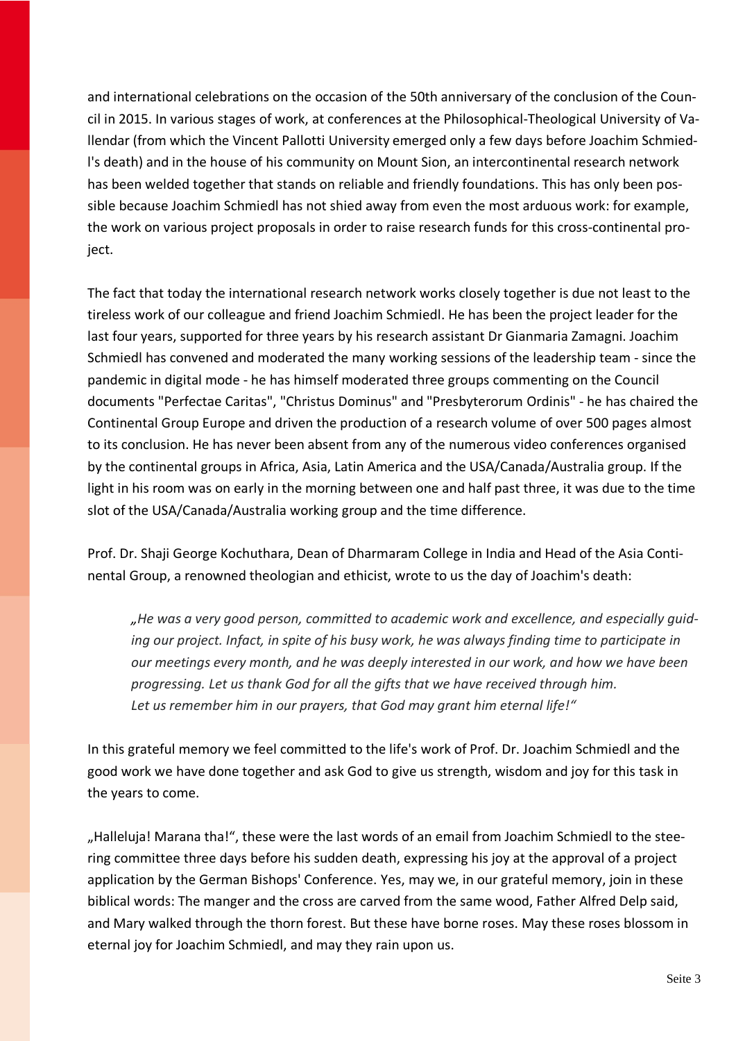and international celebrations on the occasion of the 50th anniversary of the conclusion of the Council in 2015. In various stages of work, at conferences at the Philosophical-Theological University of Vallendar (from which the Vincent Pallotti University emerged only a few days before Joachim Schmiedl's death) and in the house of his community on Mount Sion, an intercontinental research network has been welded together that stands on reliable and friendly foundations. This has only been possible because Joachim Schmiedl has not shied away from even the most arduous work: for example, the work on various project proposals in order to raise research funds for this cross-continental project.

The fact that today the international research network works closely together is due not least to the tireless work of our colleague and friend Joachim Schmiedl. He has been the project leader for the last four years, supported for three years by his research assistant Dr Gianmaria Zamagni. Joachim Schmiedl has convened and moderated the many working sessions of the leadership team - since the pandemic in digital mode - he has himself moderated three groups commenting on the Council documents "Perfectae Caritas", "Christus Dominus" and "Presbyterorum Ordinis" - he has chaired the Continental Group Europe and driven the production of a research volume of over 500 pages almost to its conclusion. He has never been absent from any of the numerous video conferences organised by the continental groups in Africa, Asia, Latin America and the USA/Canada/Australia group. If the light in his room was on early in the morning between one and half past three, it was due to the time slot of the USA/Canada/Australia working group and the time difference.

Prof. Dr. Shaji George Kochuthara, Dean of Dharmaram College in India and Head of the Asia Continental Group, a renowned theologian and ethicist, wrote to us the day of Joachim's death:

*"He was a very good person, committed to academic work and excellence, and especially guiding our project. Infact, in spite of his busy work, he was always finding time to participate in our meetings every month, and he was deeply interested in our work, and how we have been progressing. Let us thank God for all the gifts that we have received through him. Let us remember him in our prayers, that God may grant him eternal life!"*

In this grateful memory we feel committed to the life's work of Prof. Dr. Joachim Schmiedl and the good work we have done together and ask God to give us strength, wisdom and joy for this task in the years to come.

"Halleluja! Marana tha!", these were the last words of an email from Joachim Schmiedl to the steering committee three days before his sudden death, expressing his joy at the approval of a project application by the German Bishops' Conference. Yes, may we, in our grateful memory, join in these biblical words: The manger and the cross are carved from the same wood, Father Alfred Delp said, and Mary walked through the thorn forest. But these have borne roses. May these roses blossom in eternal joy for Joachim Schmiedl, and may they rain upon us.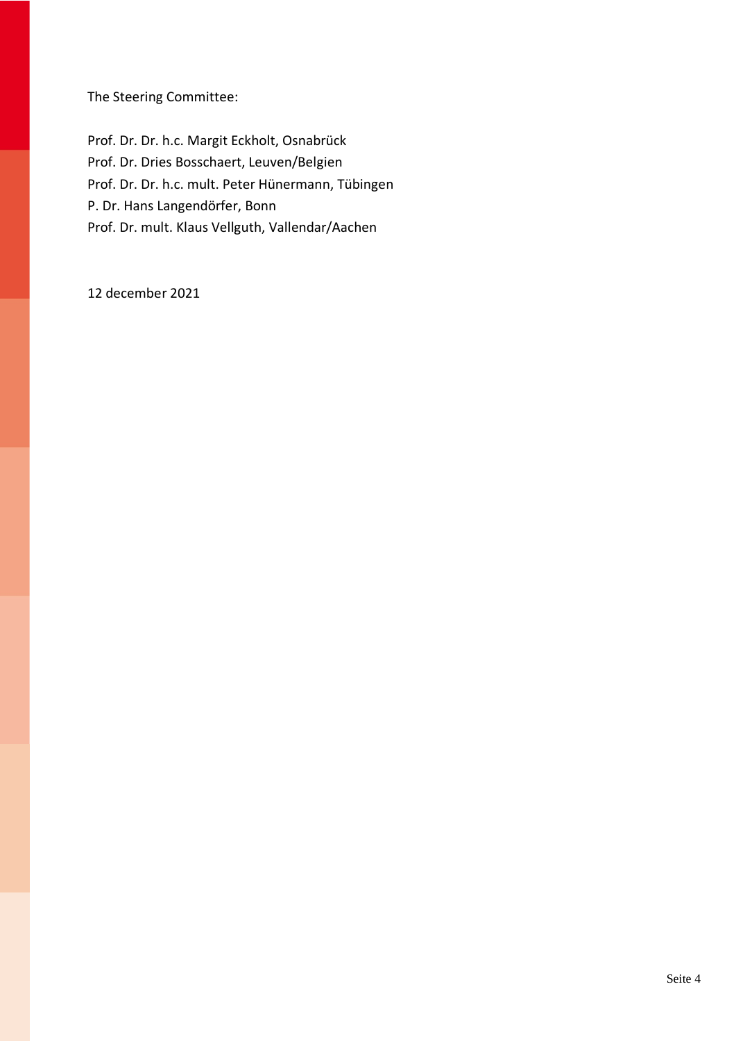The Steering Committee:

Prof. Dr. Dr. h.c. Margit Eckholt, Osnabrück Prof. Dr. Dries Bosschaert, Leuven/Belgien Prof. Dr. Dr. h.c. mult. Peter Hünermann, Tübingen P. Dr. Hans Langendörfer, Bonn Prof. Dr. mult. Klaus Vellguth, Vallendar/Aachen

12 december 2021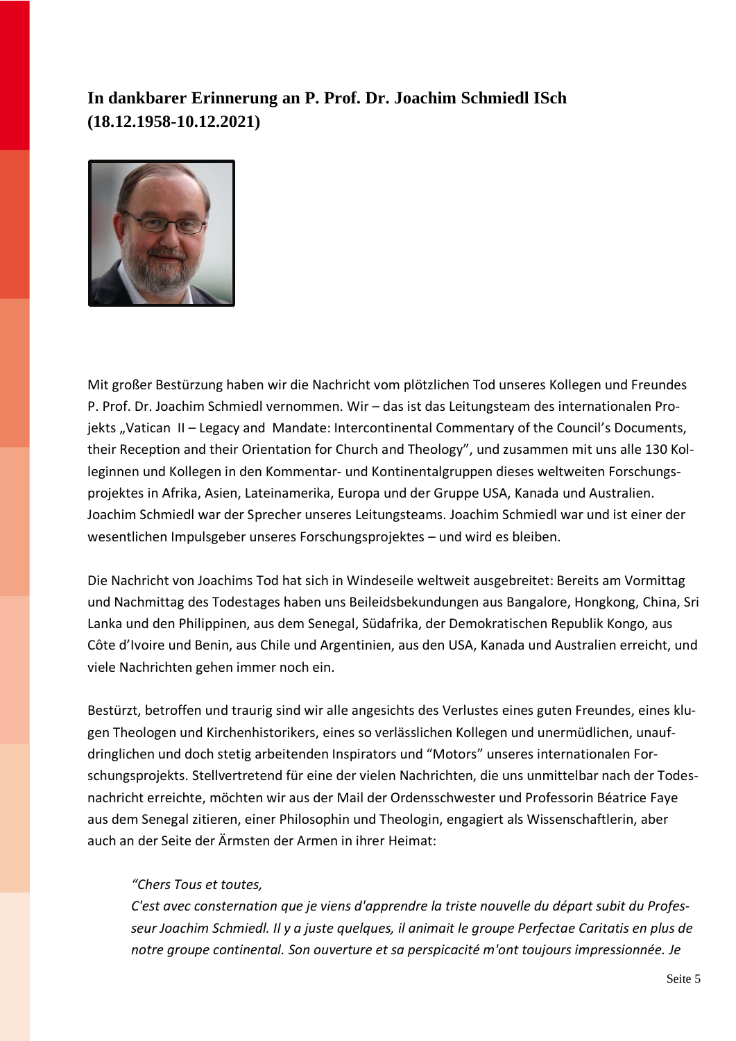## **In dankbarer Erinnerung an P. Prof. Dr. Joachim Schmiedl ISch (18.12.1958-10.12.2021)**



Mit großer Bestürzung haben wir die Nachricht vom plötzlichen Tod unseres Kollegen und Freundes P. Prof. Dr. Joachim Schmiedl vernommen. Wir – das ist das Leitungsteam des internationalen Projekts "Vatican II – Legacy and Mandate: Intercontinental Commentary of the Council's Documents, their Reception and their Orientation for Church and Theology", und zusammen mit uns alle 130 Kolleginnen und Kollegen in den Kommentar- und Kontinentalgruppen dieses weltweiten Forschungsprojektes in Afrika, Asien, Lateinamerika, Europa und der Gruppe USA, Kanada und Australien. Joachim Schmiedl war der Sprecher unseres Leitungsteams. Joachim Schmiedl war und ist einer der wesentlichen Impulsgeber unseres Forschungsprojektes – und wird es bleiben.

Die Nachricht von Joachims Tod hat sich in Windeseile weltweit ausgebreitet: Bereits am Vormittag und Nachmittag des Todestages haben uns Beileidsbekundungen aus Bangalore, Hongkong, China, Sri Lanka und den Philippinen, aus dem Senegal, Südafrika, der Demokratischen Republik Kongo, aus Côte d'Ivoire und Benin, aus Chile und Argentinien, aus den USA, Kanada und Australien erreicht, und viele Nachrichten gehen immer noch ein.

Bestürzt, betroffen und traurig sind wir alle angesichts des Verlustes eines guten Freundes, eines klugen Theologen und Kirchenhistorikers, eines so verlässlichen Kollegen und unermüdlichen, unaufdringlichen und doch stetig arbeitenden Inspirators und "Motors" unseres internationalen Forschungsprojekts. Stellvertretend für eine der vielen Nachrichten, die uns unmittelbar nach der Todesnachricht erreichte, möchten wir aus der Mail der Ordensschwester und Professorin Béatrice Faye aus dem Senegal zitieren, einer Philosophin und Theologin, engagiert als Wissenschaftlerin, aber auch an der Seite der Ärmsten der Armen in ihrer Heimat:

## *"Chers Tous et toutes,*

*C'est avec consternation que je viens d'apprendre la triste nouvelle du départ subit du Professeur Joachim Schmiedl. Il y a juste quelques, il animait le groupe Perfectae Caritatis en plus de notre groupe continental. Son ouverture et sa perspicacité m'ont toujours impressionnée. Je*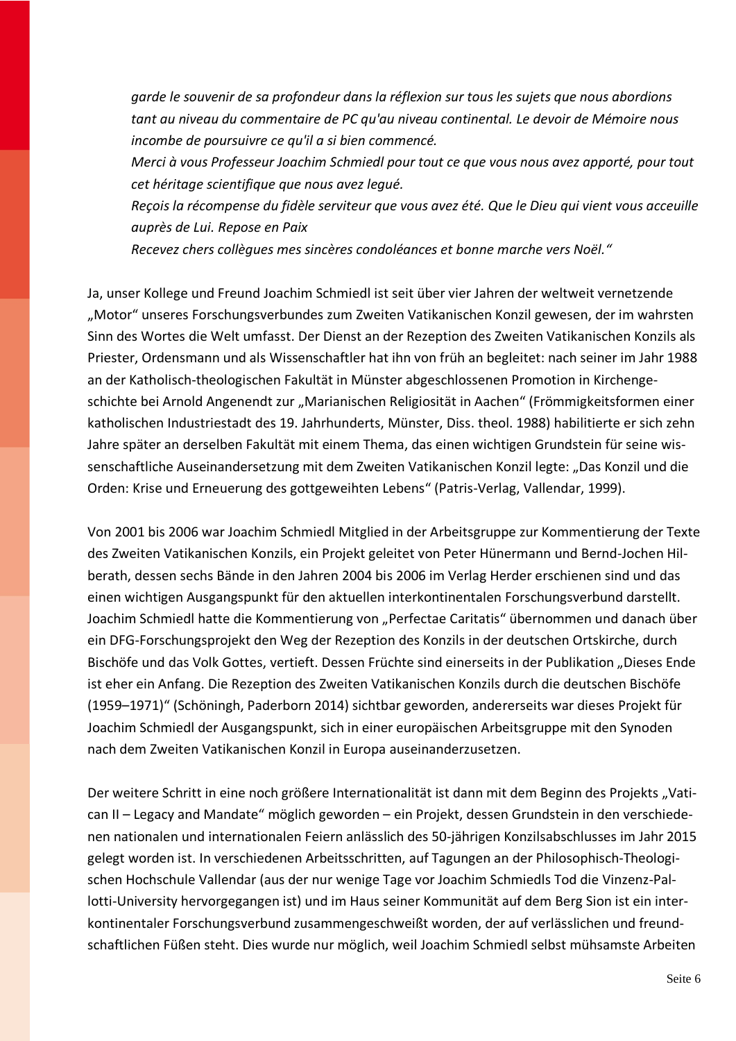*garde le souvenir de sa profondeur dans la réflexion sur tous les sujets que nous abordions tant au niveau du commentaire de PC qu'au niveau continental. Le devoir de Mémoire nous incombe de poursuivre ce qu'il a si bien commencé.*

*Merci à vous Professeur Joachim Schmiedl pour tout ce que vous nous avez apporté, pour tout cet héritage scientifique que nous avez legué.*

*Reçois la récompense du fidèle serviteur que vous avez été. Que le Dieu qui vient vous acceuille auprès de Lui. Repose en Paix*

*Recevez chers collègues mes sincères condoléances et bonne marche vers Noël."*

Ja, unser Kollege und Freund Joachim Schmiedl ist seit über vier Jahren der weltweit vernetzende "Motor" unseres Forschungsverbundes zum Zweiten Vatikanischen Konzil gewesen, der im wahrsten Sinn des Wortes die Welt umfasst. Der Dienst an der Rezeption des Zweiten Vatikanischen Konzils als Priester, Ordensmann und als Wissenschaftler hat ihn von früh an begleitet: nach seiner im Jahr 1988 an der Katholisch-theologischen Fakultät in Münster abgeschlossenen Promotion in Kirchengeschichte bei Arnold Angenendt zur "Marianischen Religiosität in Aachen" (Frömmigkeitsformen einer katholischen Industriestadt des 19. Jahrhunderts, Münster, Diss. theol. 1988) habilitierte er sich zehn Jahre später an derselben Fakultät mit einem Thema, das einen wichtigen Grundstein für seine wissenschaftliche Auseinandersetzung mit dem Zweiten Vatikanischen Konzil legte: "Das Konzil und die Orden: Krise und Erneuerung des gottgeweihten Lebens" (Patris-Verlag, Vallendar, 1999).

Von 2001 bis 2006 war Joachim Schmiedl Mitglied in der Arbeitsgruppe zur Kommentierung der Texte des Zweiten Vatikanischen Konzils, ein Projekt geleitet von Peter Hünermann und Bernd-Jochen Hilberath, dessen sechs Bände in den Jahren 2004 bis 2006 im Verlag Herder erschienen sind und das einen wichtigen Ausgangspunkt für den aktuellen interkontinentalen Forschungsverbund darstellt. Joachim Schmiedl hatte die Kommentierung von "Perfectae Caritatis" übernommen und danach über ein DFG-Forschungsprojekt den Weg der Rezeption des Konzils in der deutschen Ortskirche, durch Bischöfe und das Volk Gottes, vertieft. Dessen Früchte sind einerseits in der Publikation "Dieses Ende ist eher ein Anfang. Die Rezeption des Zweiten Vatikanischen Konzils durch die deutschen Bischöfe (1959–1971)" (Schöningh, Paderborn 2014) sichtbar geworden, andererseits war dieses Projekt für Joachim Schmiedl der Ausgangspunkt, sich in einer europäischen Arbeitsgruppe mit den Synoden nach dem Zweiten Vatikanischen Konzil in Europa auseinanderzusetzen.

Der weitere Schritt in eine noch größere Internationalität ist dann mit dem Beginn des Projekts "Vatican II – Legacy and Mandate" möglich geworden – ein Projekt, dessen Grundstein in den verschiedenen nationalen und internationalen Feiern anlässlich des 50-jährigen Konzilsabschlusses im Jahr 2015 gelegt worden ist. In verschiedenen Arbeitsschritten, auf Tagungen an der Philosophisch-Theologischen Hochschule Vallendar (aus der nur wenige Tage vor Joachim Schmiedls Tod die Vinzenz-Pallotti-University hervorgegangen ist) und im Haus seiner Kommunität auf dem Berg Sion ist ein interkontinentaler Forschungsverbund zusammengeschweißt worden, der auf verlässlichen und freundschaftlichen Füßen steht. Dies wurde nur möglich, weil Joachim Schmiedl selbst mühsamste Arbeiten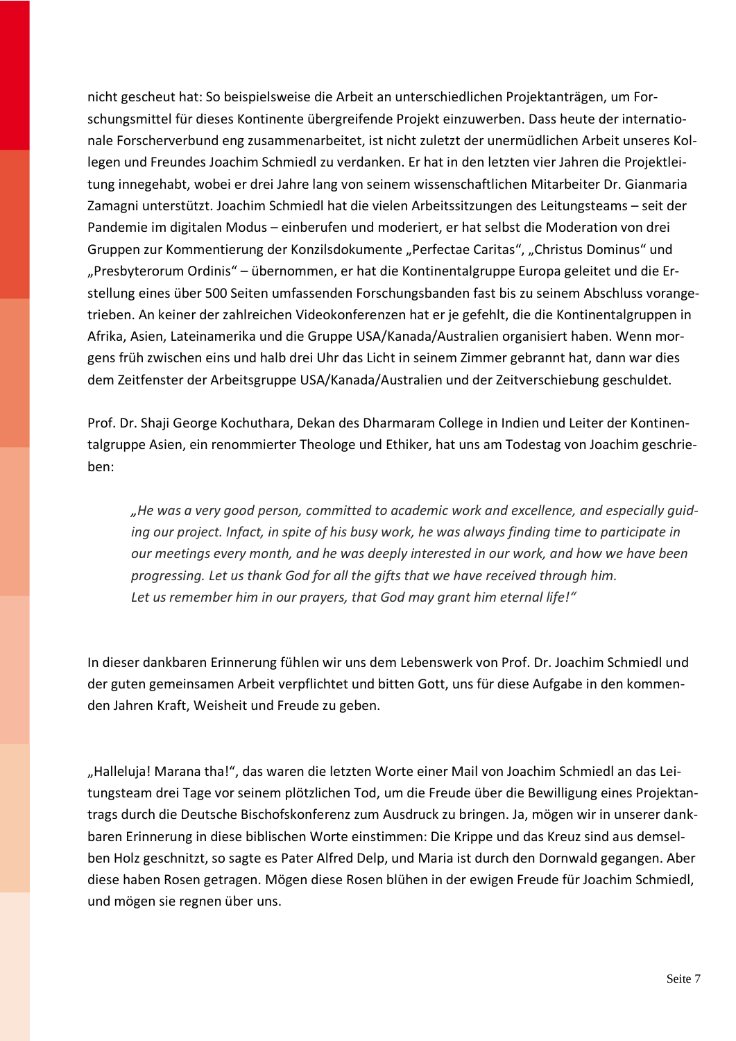nicht gescheut hat: So beispielsweise die Arbeit an unterschiedlichen Projektanträgen, um Forschungsmittel für dieses Kontinente übergreifende Projekt einzuwerben. Dass heute der internationale Forscherverbund eng zusammenarbeitet, ist nicht zuletzt der unermüdlichen Arbeit unseres Kollegen und Freundes Joachim Schmiedl zu verdanken. Er hat in den letzten vier Jahren die Projektleitung innegehabt, wobei er drei Jahre lang von seinem wissenschaftlichen Mitarbeiter Dr. Gianmaria Zamagni unterstützt. Joachim Schmiedl hat die vielen Arbeitssitzungen des Leitungsteams – seit der Pandemie im digitalen Modus – einberufen und moderiert, er hat selbst die Moderation von drei Gruppen zur Kommentierung der Konzilsdokumente "Perfectae Caritas", "Christus Dominus" und "Presbyterorum Ordinis" – übernommen, er hat die Kontinentalgruppe Europa geleitet und die Erstellung eines über 500 Seiten umfassenden Forschungsbanden fast bis zu seinem Abschluss vorangetrieben. An keiner der zahlreichen Videokonferenzen hat er je gefehlt, die die Kontinentalgruppen in Afrika, Asien, Lateinamerika und die Gruppe USA/Kanada/Australien organisiert haben. Wenn morgens früh zwischen eins und halb drei Uhr das Licht in seinem Zimmer gebrannt hat, dann war dies dem Zeitfenster der Arbeitsgruppe USA/Kanada/Australien und der Zeitverschiebung geschuldet.

Prof. Dr. Shaji George Kochuthara, Dekan des Dharmaram College in Indien und Leiter der Kontinentalgruppe Asien, ein renommierter Theologe und Ethiker, hat uns am Todestag von Joachim geschrieben:

*"He was a very good person, committed to academic work and excellence, and especially guiding our project. Infact, in spite of his busy work, he was always finding time to participate in our meetings every month, and he was deeply interested in our work, and how we have been progressing. Let us thank God for all the gifts that we have received through him. Let us remember him in our prayers, that God may grant him eternal life!"*

In dieser dankbaren Erinnerung fühlen wir uns dem Lebenswerk von Prof. Dr. Joachim Schmiedl und der guten gemeinsamen Arbeit verpflichtet und bitten Gott, uns für diese Aufgabe in den kommenden Jahren Kraft, Weisheit und Freude zu geben.

"Halleluja! Marana tha!", das waren die letzten Worte einer Mail von Joachim Schmiedl an das Leitungsteam drei Tage vor seinem plötzlichen Tod, um die Freude über die Bewilligung eines Projektantrags durch die Deutsche Bischofskonferenz zum Ausdruck zu bringen. Ja, mögen wir in unserer dankbaren Erinnerung in diese biblischen Worte einstimmen: Die Krippe und das Kreuz sind aus demselben Holz geschnitzt, so sagte es Pater Alfred Delp, und Maria ist durch den Dornwald gegangen. Aber diese haben Rosen getragen. Mögen diese Rosen blühen in der ewigen Freude für Joachim Schmiedl, und mögen sie regnen über uns.